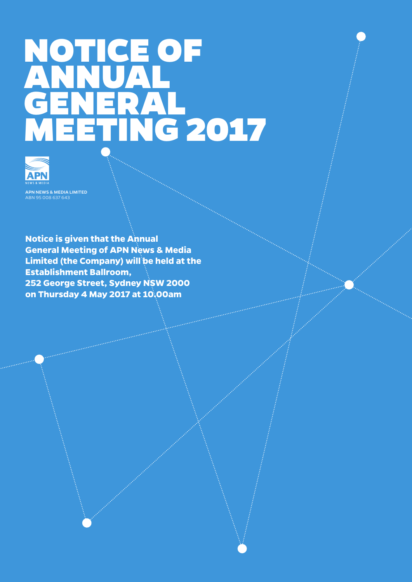# NOTICE OF ANNUAL GENERAL MEETING 2017



APN NEWS & MEDIA LIMITED

**Notice is given that the Annual General Meeting of APN News & Media Limited (the Company) will be held at the Establishment Ballroom, 252 George Street, Sydney NSW 2000 on Thursday 4 May 2017 at 10.00am**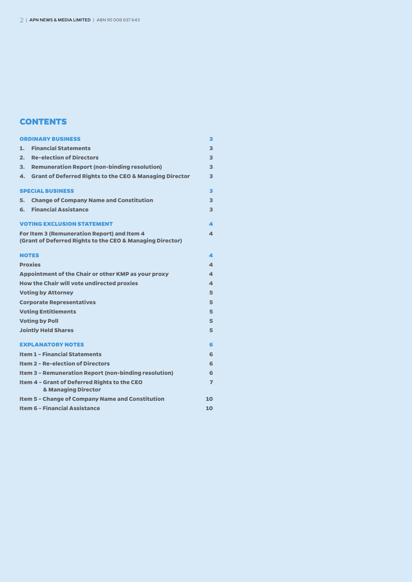# Contents **CONTENTS**

| <b>ORDINARY BUSINESS</b>                                                                                      |                                                                                |                |  |
|---------------------------------------------------------------------------------------------------------------|--------------------------------------------------------------------------------|----------------|--|
| 1.                                                                                                            | <b>Financial Statements</b>                                                    | 3              |  |
| 2.                                                                                                            | <b>Re-election of Directors</b>                                                | 3              |  |
| З.                                                                                                            | <b>Remuneration Report (non-binding resolution)</b>                            | 3              |  |
| 4.                                                                                                            | <b>Grant of Deferred Rights to the CEO &amp; Managing Director</b>             | 3              |  |
| <b>SPECIAL BUSINESS</b>                                                                                       |                                                                                | 3              |  |
| 5.                                                                                                            | <b>Change of Company Name and Constitution</b>                                 | 3              |  |
| 6.                                                                                                            | <b>Financial Assistance</b>                                                    | 3              |  |
| <b>VOTING EXCLUSION STATEMENT</b>                                                                             |                                                                                |                |  |
| For Item 3 (Remuneration Report) and Item 4<br>4<br>(Grant of Deferred Rights to the CEO & Managing Director) |                                                                                |                |  |
| <b>NOTES</b>                                                                                                  |                                                                                | 4              |  |
| <b>Proxies</b>                                                                                                |                                                                                |                |  |
| Appointment of the Chair or other KMP as your proxy                                                           |                                                                                |                |  |
| <b>How the Chair will vote undirected proxies</b>                                                             |                                                                                |                |  |
| <b>Voting by Attorney</b>                                                                                     |                                                                                |                |  |
|                                                                                                               | <b>Corporate Representatives</b>                                               | 5              |  |
| <b>Voting Entitlements</b>                                                                                    |                                                                                |                |  |
| <b>Voting by Poll</b>                                                                                         |                                                                                |                |  |
| <b>Jointly Held Shares</b>                                                                                    |                                                                                |                |  |
|                                                                                                               | <b>EXPLANATORY NOTES</b>                                                       | 6              |  |
| <b>Item 1 - Financial Statements</b>                                                                          |                                                                                |                |  |
| <b>Item 2 - Re-election of Directors</b>                                                                      |                                                                                |                |  |
|                                                                                                               | <b>Item 3 - Remuneration Report (non-binding resolution)</b>                   |                |  |
|                                                                                                               | Item 4 - Grant of Deferred Rights to the CEO<br><b>&amp; Managing Director</b> | $\overline{ }$ |  |
|                                                                                                               | <b>Item 5 - Change of Company Name and Constitution</b>                        | 10             |  |
| <b>Item 6 - Financial Assistance</b>                                                                          |                                                                                |                |  |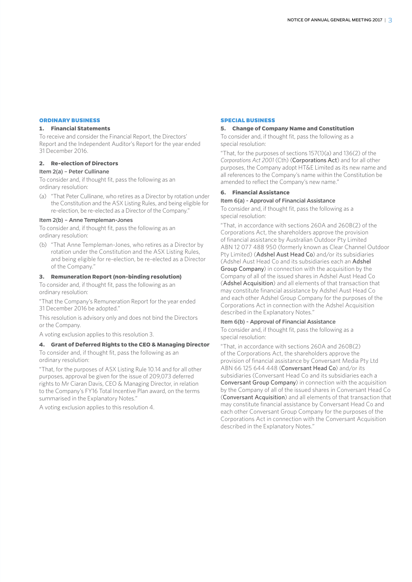#### **ORDINARY BUSINESS**

## **1. Financial Statements**

To receive and consider the Financial Report, the Directors' Report and the Independent Auditor's Report for the year ended 31 December 2016.

#### **2. Re-election of Directors**

# Item 2(a) – Peter Cullinane

To consider and, if thought fit, pass the following as an ordinary resolution:

(a) "That Peter Cullinane, who retires as a Director by rotation under the Constitution and the ASX Listing Rules, and being eligible for re-election, be re-elected as a Director of the Company."

#### Item 2(b) – Anne Templeman-Jones

To consider and, if thought fit, pass the following as an ordinary resolution:

(b) "That Anne Templeman-Jones, who retires as a Director by rotation under the Constitution and the ASX Listing Rules, and being eligible for re-election, be re-elected as a Director of the Company."

#### **3. Remuneration Report (non-binding resolution)**

To consider and, if thought fit, pass the following as an ordinary resolution:

"That the Company's Remuneration Report for the year ended 31 December 2016 be adopted."

This resolution is advisory only and does not bind the Directors or the Company.

A voting exclusion applies to this resolution 3.

#### **4. Grant of Deferred Rights to the CEO & Managing Director**

To consider and, if thought fit, pass the following as an ordinary resolution:

"That, for the purposes of ASX Listing Rule 10.14 and for all other purposes, approval be given for the issue of 209,073 deferred rights to Mr Ciaran Davis, CEO & Managing Director, in relation to the Company's FY16 Total Incentive Plan award, on the terms summarised in the Explanatory Notes."

A voting exclusion applies to this resolution 4.

#### **SPECIAL BUSINESS**

## **5. Change of Company Name and Constitution**

To consider and, if thought fit, pass the following as a special resolution:

"That, for the purposes of sections 157(1)(a) and 136(2) of the *Corporations Act 2001* (Cth) (Corporations Act) and for all other purposes, the Company adopt HT&E Limited as its new name and all references to the Company's name within the Constitution be amended to reflect the Company's new name."

#### **6. Financial Assistance**

#### Item 6(a) - Approval of Financial Assistance

To consider and, if thought fit, pass the following as a special resolution:

"That, in accordance with sections 260A and 260B(2) of the Corporations Act, the shareholders approve the provision of financial assistance by Australian Outdoor Pty Limited ABN 12 077 488 950 (formerly known as Clear Channel Outdoor Pty Limited) (Adshel Aust Head Co) and/or its subsidiaries (Adshel Aust Head Co and its subsidiaries each an Adshel Group Company) in connection with the acquisition by the Company of all of the issued shares in Adshel Aust Head Co (Adshel Acquisition) and all elements of that transaction that may constitute financial assistance by Adshel Aust Head Co and each other Adshel Group Company for the purposes of the Corporations Act in connection with the Adshel Acquisition described in the Explanatory Notes."

#### Item 6(b) - Approval of Financial Assistance

To consider and, if thought fit, pass the following as a special resolution:

"That, in accordance with sections 260A and 260B(2) of the Corporations Act, the shareholders approve the provision of financial assistance by Conversant Media Pty Ltd ABN 66 125 644 448 (Conversant Head Co) and/or its subsidiaries (Conversant Head Co and its subsidiaries each a Conversant Group Company) in connection with the acquisition by the Company of all of the issued shares in Conversant Head Co (Conversant Acquisition) and all elements of that transaction that may constitute financial assistance by Conversant Head Co and each other Conversant Group Company for the purposes of the Corporations Act in connection with the Conversant Acquisition described in the Explanatory Notes."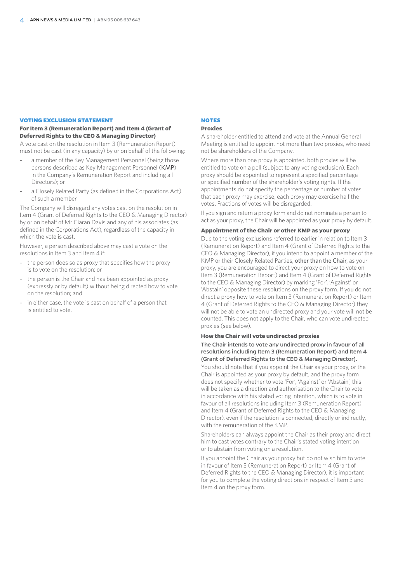#### **VOTING EXCLUSION STATEMENT**

#### **For Item 3 (Remuneration Report) and Item 4 (Grant of Deferred Rights to the CEO & Managing Director)**

A vote cast on the resolution in Item 3 (Remuneration Report) must not be cast (in any capacity) by or on behalf of the following:

- a member of the Key Management Personnel (being those persons described as Key Management Personnel (KMP) in the Company's Remuneration Report and including all Directors); or
- a Closely Related Party (as defined in the Corporations Act) of such a member.

The Company will disregard any votes cast on the resolution in Item 4 (Grant of Deferred Rights to the CEO & Managing Director) by or on behalf of Mr Ciaran Davis and any of his associates (as defined in the Corporations Act), regardless of the capacity in which the vote is cast.

However, a person described above may cast a vote on the resolutions in Item 3 and Item 4 if:

- the person does so as proxy that specifies how the proxy is to vote on the resolution; or
- the person is the Chair and has been appointed as proxy (expressly or by default) without being directed how to vote on the resolution; and
- in either case, the vote is cast on behalf of a person that is entitled to vote.

#### **NOTES**

#### **Proxies**

A shareholder entitled to attend and vote at the Annual General Meeting is entitled to appoint not more than two proxies, who need not be shareholders of the Company.

Where more than one proxy is appointed, both proxies will be entitled to vote on a poll (subject to any voting exclusion). Each proxy should be appointed to represent a specified percentage or specified number of the shareholder's voting rights. If the appointments do not specify the percentage or number of votes that each proxy may exercise, each proxy may exercise half the votes. Fractions of votes will be disregarded.

If you sign and return a proxy form and do not nominate a person to act as your proxy, the Chair will be appointed as your proxy by default.

#### **Appointment of the Chair or other KMP as your proxy**

Due to the voting exclusions referred to earlier in relation to Item 3 (Remuneration Report) and Item 4 (Grant of Deferred Rights to the CEO & Managing Director), if you intend to appoint a member of the KMP or their Closely Related Parties, other than the Chair, as your proxy, you are encouraged to direct your proxy on how to vote on Item 3 (Remuneration Report) and Item 4 (Grant of Deferred Rights to the CEO & Managing Director) by marking 'For', 'Against' or 'Abstain' opposite these resolutions on the proxy form. If you do not direct a proxy how to vote on Item 3 (Remuneration Report) or Item 4 (Grant of Deferred Rights to the CEO & Managing Director) they will not be able to vote an undirected proxy and your vote will not be counted. This does not apply to the Chair, who can vote undirected proxies (see below).

#### **How the Chair will vote undirected proxies**

The Chair intends to vote any undirected proxy in favour of all resolutions including Item 3 (Remuneration Report) and Item 4 (Grant of Deferred Rights to the CEO & Managing Director).

You should note that if you appoint the Chair as your proxy, or the Chair is appointed as your proxy by default, and the proxy form does not specify whether to vote 'For', 'Against' or 'Abstain', this will be taken as a direction and authorisation to the Chair to vote in accordance with his stated voting intention, which is to vote in favour of all resolutions including Item 3 (Remuneration Report) and Item 4 (Grant of Deferred Rights to the CEO & Managing Director), even if the resolution is connected, directly or indirectly, with the remuneration of the KMP.

Shareholders can always appoint the Chair as their proxy and direct him to cast votes contrary to the Chair's stated voting intention or to abstain from voting on a resolution.

If you appoint the Chair as your proxy but do not wish him to vote in favour of Item 3 (Remuneration Report) or Item 4 (Grant of Deferred Rights to the CEO & Managing Director), it is important for you to complete the voting directions in respect of Item 3 and Item 4 on the proxy form.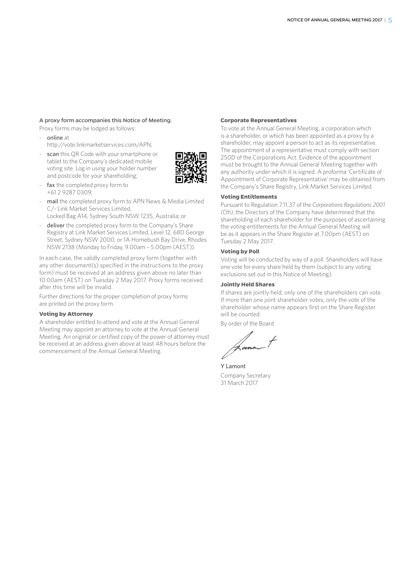#### A proxy form accompanies this Notice of Meeting.

Proxy forms may be lodged as follows:

- online at
	- http://vote.linkmarketservices.com/APN;
- scan this OR Code with your smartphone or tablet to the Company's dedicated mobile voting site. Log in using your holder number and postcode for your shareholding;
- 
- fax the completed proxy form to +61 2 9287 0309;
- mail the completed proxy form to APN News & Media Limited C/- Link Market Services Limited,
- Locked Bag A14, Sydney South NSW 1235, Australia; or
- deliver the completed proxy form to the Company's Share Registry at Link Market Services Limited, Level 12, 680 George Street, Sydney NSW 2000, or 1A Homebush Bay Drive, Rhodes NSW 2138 (Monday to Friday, 9.00am – 5.00pm (AEST)).

In each case, the validly completed proxy form (together with any other document(s) specified in the instructions to the proxy form) must be received at an address given above no later than 10.00am (AEST) on Tuesday 2 May 2017. Proxy forms received after this time will be invalid.

Further directions for the proper completion of proxy forms are printed on the proxy form.

#### **Voting by Attorney**

A shareholder entitled to attend and vote at the Annual General Meeting may appoint an attorney to vote at the Annual General Meeting. An original or certified copy of the power of attorney must be received at an address given above at least 48 hours before the commencement of the Annual General Meeting.

#### **Corporate Representatives**

To vote at the Annual General Meeting, a corporation which is a shareholder, or which has been appointed as a proxy by a shareholder, may appoint a person to act as its representative. The appointment of a representative must comply with section 250D of the Corporations Act. Evidence of the appointment must be brought to the Annual General Meeting together with any authority under which it is signed. A proforma 'Certificate of Appointment of Corporate Representative' may be obtained from the Company's Share Registry, Link Market Services Limited.

#### **Voting Entitlements**

Pursuant to Regulation 7.11.37 of the *Corporations Regulations 2001 (Cth)*, the Directors of the Company have determined that the shareholding of each shareholder for the purposes of ascertaining the voting entitlements for the Annual General Meeting will be as it appears in the Share Register at 7.00pm (AEST) on Tuesday 2 May 2017.

#### **Voting by Poll**

Voting will be conducted by way of a poll. Shareholders will have one vote for every share held by them (subject to any voting exclusions set out in this Notice of Meeting).

#### **Jointly Held Shares**

If shares are jointly held, only one of the shareholders can vote. If more than one joint shareholder votes, only the vote of the shareholder whose name appears first on the Share Register will be counted.

By order of the Board

Y Lamont Company Secretary 31 March 2017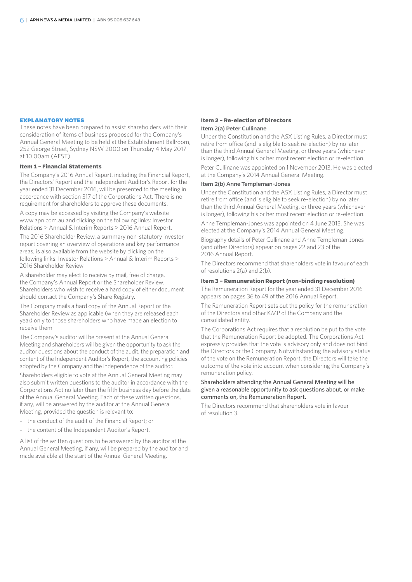#### **EXPLANATORY NOTES**

These notes have been prepared to assist shareholders with their consideration of items of business proposed for the Company's Annual General Meeting to be held at the Establishment Ballroom, 252 George Street, Sydney NSW 2000 on Thursday 4 May 2017 at 10.00am (AEST).

#### **Item 1 – Financial Statements**

The Company's 2016 Annual Report, including the Financial Report, the Directors' Report and the Independent Auditor's Report for the year ended 31 December 2016, will be presented to the meeting in accordance with section 317 of the Corporations Act. There is no requirement for shareholders to approve these documents.

A copy may be accessed by visiting the Company's website www.apn.com.au and clicking on the following links: Investor Relations > Annual & Interim Reports > 2016 Annual Report.

The 2016 Shareholder Review, a summary non-statutory investor report covering an overview of operations and key performance areas, is also available from the website by clicking on the following links: Investor Relations > Annual & Interim Reports > 2016 Shareholder Review.

A shareholder may elect to receive by mail, free of charge, the Company's Annual Report or the Shareholder Review. Shareholders who wish to receive a hard copy of either document should contact the Company's Share Registry.

The Company mails a hard copy of the Annual Report or the Shareholder Review as applicable (when they are released each year) only to those shareholders who have made an election to receive them.

The Company's auditor will be present at the Annual General Meeting and shareholders will be given the opportunity to ask the auditor questions about the conduct of the audit, the preparation and content of the Independent Auditor's Report, the accounting policies adopted by the Company and the independence of the auditor.

Shareholders eligible to vote at the Annual General Meeting may also submit written questions to the auditor in accordance with the Corporations Act no later than the fifth business day before the date of the Annual General Meeting. Each of these written questions, if any, will be answered by the auditor at the Annual General Meeting, provided the question is relevant to:

- the conduct of the audit of the Financial Report; or
- the content of the Independent Auditor's Report.

A list of the written questions to be answered by the auditor at the Annual General Meeting, if any, will be prepared by the auditor and made available at the start of the Annual General Meeting.

#### **Item 2 – Re-election of Directors** Item 2(a) Peter Cullinane

Under the Constitution and the ASX Listing Rules, a Director must retire from office (and is eligible to seek re-election) by no later than the third Annual General Meeting, or three years (whichever is longer), following his or her most recent election or re-election. Peter Cullinane was appointed on 1 November 2013. He was elected at the Company's 2014 Annual General Meeting.

#### Item 2(b) Anne Templeman-Jones

Under the Constitution and the ASX Listing Rules, a Director must retire from office (and is eligible to seek re-election) by no later than the third Annual General Meeting, or three years (whichever is longer), following his or her most recent election or re-election.

Anne Templeman-Jones was appointed on 4 June 2013. She was elected at the Company's 2014 Annual General Meeting.

Biography details of Peter Cullinane and Anne Templeman-Jones (and other Directors) appear on pages 22 and 23 of the 2016 Annual Report.

The Directors recommend that shareholders vote in favour of each of resolutions 2(a) and 2(b).

#### **Item 3 – Remuneration Report (non-binding resolution)**

The Remuneration Report for the year ended 31 December 2016 appears on pages 36 to 49 of the 2016 Annual Report.

The Remuneration Report sets out the policy for the remuneration of the Directors and other KMP of the Company and the consolidated entity.

The Corporations Act requires that a resolution be put to the vote that the Remuneration Report be adopted. The Corporations Act expressly provides that the vote is advisory only and does not bind the Directors or the Company. Notwithstanding the advisory status of the vote on the Remuneration Report, the Directors will take the outcome of the vote into account when considering the Company's remuneration policy.

#### Shareholders attending the Annual General Meeting will be given a reasonable opportunity to ask questions about, or make comments on, the Remuneration Report.

The Directors recommend that shareholders vote in favour of resolution 3.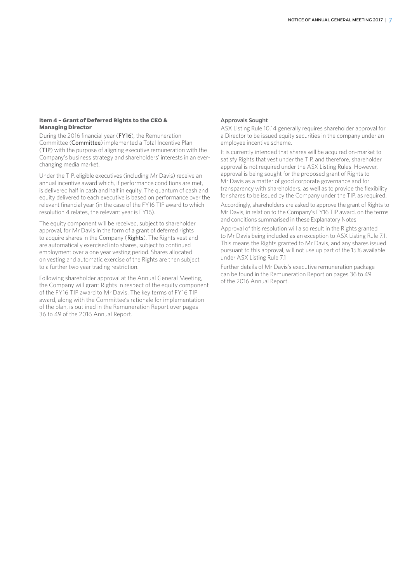#### **Item 4 – Grant of Deferred Rights to the CEO & Managing Director**

During the 2016 financial year (FY16), the Remuneration Committee (Committee) implemented a Total Incentive Plan (TIP) with the purpose of aligning executive remuneration with the Company's business strategy and shareholders' interests in an everchanging media market.

Under the TIP, eligible executives (including Mr Davis) receive an annual incentive award which, if performance conditions are met, is delivered half in cash and half in equity. The quantum of cash and equity delivered to each executive is based on performance over the relevant financial year (in the case of the FY16 TIP award to which resolution 4 relates, the relevant year is FY16).

The equity component will be received, subject to shareholder approval, for Mr Davis in the form of a grant of deferred rights to acquire shares in the Company (Rights). The Rights vest and are automatically exercised into shares, subject to continued employment over a one year vesting period. Shares allocated on vesting and automatic exercise of the Rights are then subject to a further two year trading restriction.

Following shareholder approval at the Annual General Meeting, the Company will grant Rights in respect of the equity component of the FY16 TIP award to Mr Davis. The key terms of FY16 TIP award, along with the Committee's rationale for implementation of the plan, is outlined in the Remuneration Report over pages 36 to 49 of the 2016 Annual Report.

#### Approvals Sought

ASX Listing Rule 10.14 generally requires shareholder approval for a Director to be issued equity securities in the company under an employee incentive scheme.

It is currently intended that shares will be acquired on-market to satisfy Rights that vest under the TIP, and therefore, shareholder approval is not required under the ASX Listing Rules. However, approval is being sought for the proposed grant of Rights to Mr Davis as a matter of good corporate governance and for transparency with shareholders, as well as to provide the flexibility for shares to be issued by the Company under the TIP, as required.

Accordingly, shareholders are asked to approve the grant of Rights to Mr Davis, in relation to the Company's FY16 TIP award, on the terms and conditions summarised in these Explanatory Notes.

Approval of this resolution will also result in the Rights granted to Mr Davis being included as an exception to ASX Listing Rule 7.1. This means the Rights granted to Mr Davis, and any shares issued pursuant to this approval, will not use up part of the 15% available under ASX Listing Rule 7.1

Further details of Mr Davis's executive remuneration package can be found in the Remuneration Report on pages 36 to 49 of the 2016 Annual Report.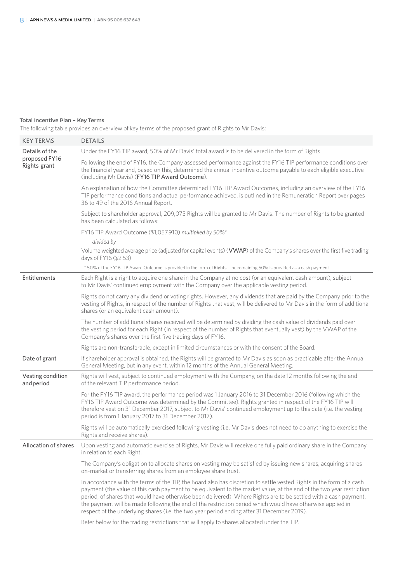#### Total Incentive Plan – Key Terms

The following table provides an overview of key terms of the proposed grant of Rights to Mr Davis:

| <b>KEY TERMS</b>                | <b>DETAILS</b>                                                                                                                                                                                                                                                                                                                                                                                                                                                                                                                                                               |  |  |  |
|---------------------------------|------------------------------------------------------------------------------------------------------------------------------------------------------------------------------------------------------------------------------------------------------------------------------------------------------------------------------------------------------------------------------------------------------------------------------------------------------------------------------------------------------------------------------------------------------------------------------|--|--|--|
| Details of the                  | Under the FY16 TIP award, 50% of Mr Davis' total award is to be delivered in the form of Rights.                                                                                                                                                                                                                                                                                                                                                                                                                                                                             |  |  |  |
| proposed FY16<br>Rights grant   | Following the end of FY16, the Company assessed performance against the FY16 TIP performance conditions over<br>the financial year and, based on this, determined the annual incentive outcome payable to each eligible executive<br>(including Mr Davis) (FY16 TIP Award Outcome).                                                                                                                                                                                                                                                                                          |  |  |  |
|                                 | An explanation of how the Committee determined FY16 TIP Award Outcomes, including an overview of the FY16<br>TIP performance conditions and actual performance achieved, is outlined in the Remuneration Report over pages<br>36 to 49 of the 2016 Annual Report.                                                                                                                                                                                                                                                                                                            |  |  |  |
|                                 | Subject to shareholder approval, 209,073 Rights will be granted to Mr Davis. The number of Rights to be granted<br>has been calculated as follows:                                                                                                                                                                                                                                                                                                                                                                                                                           |  |  |  |
|                                 | FY16 TIP Award Outcome (\$1,057,910) multiplied by 50%*                                                                                                                                                                                                                                                                                                                                                                                                                                                                                                                      |  |  |  |
|                                 | divided by                                                                                                                                                                                                                                                                                                                                                                                                                                                                                                                                                                   |  |  |  |
|                                 | Volume weighted average price (adjusted for capital events) (VWAP) of the Company's shares over the first five trading<br>days of FY16 (\$2.53)                                                                                                                                                                                                                                                                                                                                                                                                                              |  |  |  |
|                                 | *50% of the FY16 TIP Award Outcome is provided in the form of Rights. The remaining 50% is provided as a cash payment.                                                                                                                                                                                                                                                                                                                                                                                                                                                       |  |  |  |
| <b>Entitlements</b>             | Each Right is a right to acquire one share in the Company at no cost (or an equivalent cash amount), subject<br>to Mr Davis' continued employment with the Company over the applicable vesting period.                                                                                                                                                                                                                                                                                                                                                                       |  |  |  |
|                                 | Rights do not carry any dividend or voting rights. However, any dividends that are paid by the Company prior to the<br>vesting of Rights, in respect of the number of Rights that vest, will be delivered to Mr Davis in the form of additional<br>shares (or an equivalent cash amount).                                                                                                                                                                                                                                                                                    |  |  |  |
|                                 | The number of additional shares received will be determined by dividing the cash value of dividends paid over<br>the vesting period for each Right (in respect of the number of Rights that eventually vest) by the VWAP of the<br>Company's shares over the first five trading days of FY16.                                                                                                                                                                                                                                                                                |  |  |  |
|                                 | Rights are non-transferable, except in limited circumstances or with the consent of the Board.                                                                                                                                                                                                                                                                                                                                                                                                                                                                               |  |  |  |
| Date of grant                   | If shareholder approval is obtained, the Rights will be granted to Mr Davis as soon as practicable after the Annual<br>General Meeting, but in any event, within 12 months of the Annual General Meeting.                                                                                                                                                                                                                                                                                                                                                                    |  |  |  |
| Vesting condition<br>and period | Rights will vest, subject to continued employment with the Company, on the date 12 months following the end<br>of the relevant TIP performance period.                                                                                                                                                                                                                                                                                                                                                                                                                       |  |  |  |
|                                 | For the FY16 TIP award, the performance period was 1 January 2016 to 31 December 2016 (following which the<br>FY16 TIP Award Outcome was determined by the Committee). Rights granted in respect of the FY16 TIP will<br>therefore vest on 31 December 2017, subject to Mr Davis' continued employment up to this date (i.e. the vesting<br>period is from 1 January 2017 to 31 December 2017).                                                                                                                                                                              |  |  |  |
|                                 | Rights will be automatically exercised following vesting (i.e. Mr Davis does not need to do anything to exercise the<br>Rights and receive shares).                                                                                                                                                                                                                                                                                                                                                                                                                          |  |  |  |
| Allocation of shares            | Upon vesting and automatic exercise of Rights, Mr Davis will receive one fully paid ordinary share in the Company<br>in relation to each Right.                                                                                                                                                                                                                                                                                                                                                                                                                              |  |  |  |
|                                 | The Company's obligation to allocate shares on vesting may be satisfied by issuing new shares, acquiring shares<br>on-market or transferring shares from an employee share trust.                                                                                                                                                                                                                                                                                                                                                                                            |  |  |  |
|                                 | In accordance with the terms of the TIP, the Board also has discretion to settle vested Rights in the form of a cash<br>payment (the value of this cash payment to be equivalent to the market value, at the end of the two year restriction<br>period, of shares that would have otherwise been delivered). Where Rights are to be settled with a cash payment,<br>the payment will be made following the end of the restriction period which would have otherwise applied in<br>respect of the underlying shares (i.e. the two year period ending after 31 December 2019). |  |  |  |
|                                 | Refer below for the trading restrictions that will apply to shares allocated under the TIP.                                                                                                                                                                                                                                                                                                                                                                                                                                                                                  |  |  |  |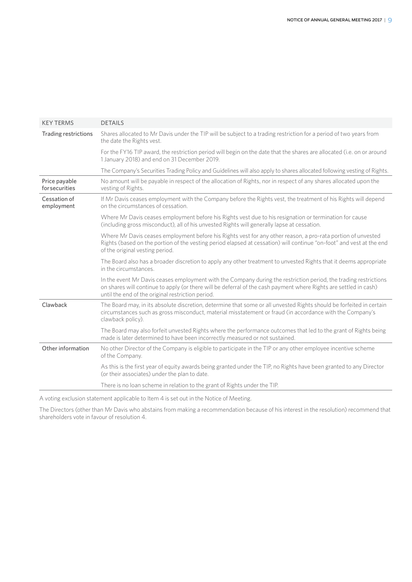| <b>KEY TERMS</b>                       | <b>DETAILS</b>                                                                                                                                                                                                                                                                             |  |  |  |
|----------------------------------------|--------------------------------------------------------------------------------------------------------------------------------------------------------------------------------------------------------------------------------------------------------------------------------------------|--|--|--|
| Trading restrictions                   | Shares allocated to Mr Davis under the TIP will be subject to a trading restriction for a period of two years from<br>the date the Rights vest.                                                                                                                                            |  |  |  |
|                                        | For the FY16 TIP award, the restriction period will begin on the date that the shares are allocated (i.e. on or around<br>1 January 2018) and end on 31 December 2019.                                                                                                                     |  |  |  |
|                                        | The Company's Securities Trading Policy and Guidelines will also apply to shares allocated following vesting of Rights.                                                                                                                                                                    |  |  |  |
| Price payable<br><b>for securities</b> | No amount will be payable in respect of the allocation of Rights, nor in respect of any shares allocated upon the<br>vesting of Rights.                                                                                                                                                    |  |  |  |
| Cessation of<br>employment             | If Mr Davis ceases employment with the Company before the Rights vest, the treatment of his Rights will depend<br>on the circumstances of cessation.                                                                                                                                       |  |  |  |
|                                        | Where Mr Davis ceases employment before his Rights vest due to his resignation or termination for cause<br>(including gross misconduct), all of his unvested Rights will generally lapse at cessation.                                                                                     |  |  |  |
|                                        | Where Mr Davis ceases employment before his Rights vest for any other reason, a pro-rata portion of unvested<br>Rights (based on the portion of the vesting period elapsed at cessation) will continue "on-foot" and vest at the end<br>of the original vesting period.                    |  |  |  |
|                                        | The Board also has a broader discretion to apply any other treatment to unvested Rights that it deems appropriate<br>in the circumstances.                                                                                                                                                 |  |  |  |
|                                        | In the event Mr Davis ceases employment with the Company during the restriction period, the trading restrictions<br>on shares will continue to apply (or there will be deferral of the cash payment where Rights are settled in cash)<br>until the end of the original restriction period. |  |  |  |
| Clawback                               | The Board may, in its absolute discretion, determine that some or all unvested Rights should be forfeited in certain<br>circumstances such as gross misconduct, material misstatement or fraud (in accordance with the Company's<br>clawback policy).                                      |  |  |  |
|                                        | The Board may also forfeit unvested Rights where the performance outcomes that led to the grant of Rights being<br>made is later determined to have been incorrectly measured or not sustained.                                                                                            |  |  |  |
| Other information                      | No other Director of the Company is eligible to participate in the TIP or any other employee incentive scheme<br>of the Company.                                                                                                                                                           |  |  |  |
|                                        | As this is the first year of equity awards being granted under the TIP, no Rights have been granted to any Director<br>(or their associates) under the plan to date.                                                                                                                       |  |  |  |
|                                        | There is no loan scheme in relation to the grant of Rights under the TIP.                                                                                                                                                                                                                  |  |  |  |
|                                        |                                                                                                                                                                                                                                                                                            |  |  |  |

A voting exclusion statement applicable to Item 4 is set out in the Notice of Meeting.

The Directors (other than Mr Davis who abstains from making a recommendation because of his interest in the resolution) recommend that shareholders vote in favour of resolution 4.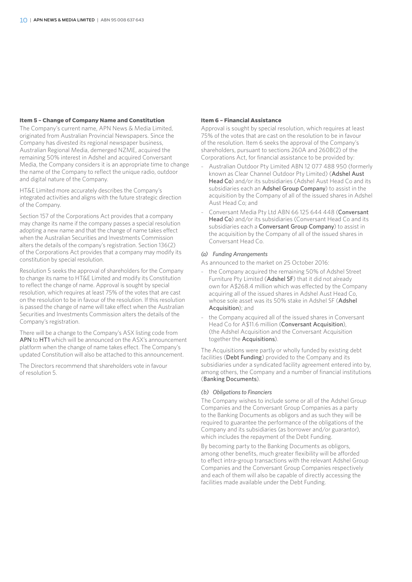#### **Item 5 – Change of Company Name and Constitution**

The Company's current name, APN News & Media Limited, originated from Australian Provincial Newspapers. Since the Company has divested its regional newspaper business, Australian Regional Media, demerged NZME, acquired the remaining 50% interest in Adshel and acquired Conversant Media, the Company considers it is an appropriate time to change the name of the Company to reflect the unique radio, outdoor and digital nature of the Company.

HT&E Limited more accurately describes the Company's integrated activities and aligns with the future strategic direction of the Company.

Section 157 of the Corporations Act provides that a company may change its name if the company passes a special resolution adopting a new name and that the change of name takes effect when the Australian Securities and Investments Commission alters the details of the company's registration. Section 136(2) of the Corporations Act provides that a company may modify its constitution by special resolution.

Resolution 5 seeks the approval of shareholders for the Company to change its name to HT&E Limited and modify its Constitution to reflect the change of name. Approval is sought by special resolution, which requires at least 75% of the votes that are cast on the resolution to be in favour of the resolution. If this resolution is passed the change of name will take effect when the Australian Securities and Investments Commission alters the details of the Company's registration.

There will be a change to the Company's ASX listing code from APN to HT1 which will be announced on the ASX's announcement platform when the change of name takes effect. The Company's updated Constitution will also be attached to this announcement.

The Directors recommend that shareholders vote in favour of resolution 5.

#### **Item 6 – Financial Assistance**

Approval is sought by special resolution, which requires at least 75% of the votes that are cast on the resolution to be in favour of the resolution. Item 6 seeks the approval of the Company's shareholders, pursuant to sections 260A and 260B(2) of the Corporations Act, for financial assistance to be provided by:

- Australian Outdoor Pty Limited ABN 12 077 488 950 (formerly known as Clear Channel Outdoor Pty Limited) (Adshel Aust Head Co) and/or its subsidiaries (Adshel Aust Head Co and its subsidiaries each an Adshel Group Company) to assist in the acquisition by the Company of all of the issued shares in Adshel Aust Head Co; and
- Conversant Media Pty Ltd ABN 66 125 644 448 (Conversant Head Co) and/or its subsidiaries (Conversant Head Co and its subsidiaries each a Conversant Group Company) to assist in the acquisition by the Company of all of the issued shares in Conversant Head Co.

#### *(a) Funding Arrangements*

- As announced to the market on 25 October 2016:
- the Company acquired the remaining 50% of Adshel Street Furniture Pty Limited (Adshel SF) that it did not already own for A\$268.4 million which was effected by the Company acquiring all of the issued shares in Adshel Aust Head Co, whose sole asset was its 50% stake in Adshel SF (Adshel Acquisition); and
- the Company acquired all of the issued shares in Conversant Head Co for A\$11.6 million (Conversant Acquisition) (the Adshel Acquisition and the Conversant Acquisition together the Acquisitions).

The Acquisitions were partly or wholly funded by existing debt facilities (Debt Funding) provided to the Company and its subsidiaries under a syndicated facility agreement entered into by, among others, the Company and a number of financial institutions (Banking Documents).

#### *(b) Obligations to Financiers*

The Company wishes to include some or all of the Adshel Group Companies and the Conversant Group Companies as a party to the Banking Documents as obligors and as such they will be required to guarantee the performance of the obligations of the Company and its subsidiaries (as borrower and/or guarantor), which includes the repayment of the Debt Funding.

By becoming party to the Banking Documents as obligors, among other benefits, much greater flexibility will be afforded to effect intra-group transactions with the relevant Adshel Group Companies and the Conversant Group Companies respectively and each of them will also be capable of directly accessing the facilities made available under the Debt Funding.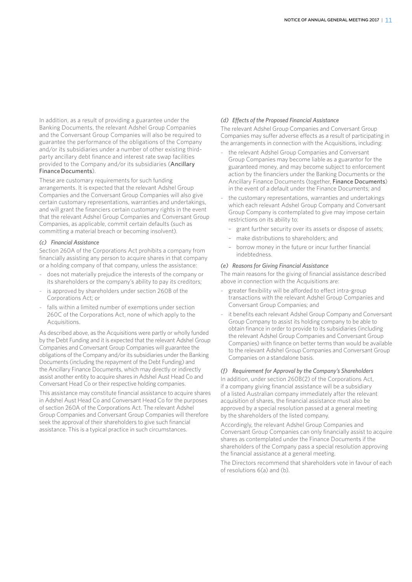In addition, as a result of providing a guarantee under the Banking Documents, the relevant Adshel Group Companies and the Conversant Group Companies will also be required to guarantee the performance of the obligations of the Company and/or its subsidiaries under a number of other existing thirdparty ancillary debt finance and interest rate swap facilities provided to the Company and/or its subsidiaries (Ancillary Finance Documents).

These are customary requirements for such funding arrangements. It is expected that the relevant Adshel Group Companies and the Conversant Group Companies will also give certain customary representations, warranties and undertakings, and will grant the financiers certain customary rights in the event that the relevant Adshel Group Companies and Conversant Group Companies, as applicable, commit certain defaults (such as committing a material breach or becoming insolvent).

#### *(c) Financial Assistance*

Section 260A of the Corporations Act prohibits a company from financially assisting any person to acquire shares in that company or a holding company of that company, unless the assistance:

- does not materially prejudice the interests of the company or its shareholders or the company's ability to pay its creditors;
- is approved by shareholders under section 260B of the Corporations Act; or
- falls within a limited number of exemptions under section 260C of the Corporations Act, none of which apply to the Acquisitions.

As described above, as the Acquisitions were partly or wholly funded by the Debt Funding and it is expected that the relevant Adshel Group Companies and Conversant Group Companies will guarantee the obligations of the Company and/or its subsidiaries under the Banking Documents (including the repayment of the Debt Funding) and the Ancillary Finance Documents, which may directly or indirectly assist another entity to acquire shares in Adshel Aust Head Co and Conversant Head Co or their respective holding companies.

This assistance may constitute financial assistance to acquire shares in Adshel Aust Head Co and Conversant Head Co for the purposes of section 260A of the Corporations Act. The relevant Adshel Group Companies and Conversant Group Companies will therefore seek the approval of their shareholders to give such financial assistance. This is a typical practice in such circumstances.

### *(d) Effects of the Proposed Financial Assistance*

The relevant Adshel Group Companies and Conversant Group Companies may suffer adverse effects as a result of participating in the arrangements in connection with the Acquisitions, including:

- the relevant Adshel Group Companies and Conversant Group Companies may become liable as a guarantor for the guaranteed money, and may become subject to enforcement action by the financiers under the Banking Documents or the Ancillary Finance Documents (together, Finance Documents) in the event of a default under the Finance Documents; and
- the customary representations, warranties and undertakings which each relevant Adshel Group Company and Conversant Group Company is contemplated to give may impose certain restrictions on its ability to:
	- grant further security over its assets or dispose of assets;
	- make distributions to shareholders; and
	- borrow money in the future or incur further financial indebtedness.

#### *(e) Reasons for Giving Financial Assistance*

The main reasons for the giving of financial assistance described above in connection with the Acquisitions are:

- greater flexibility will be afforded to effect intra-group transactions with the relevant Adshel Group Companies and Conversant Group Companies; and
- it benefits each relevant Adshel Group Company and Conversant Group Company to assist its holding company to be able to obtain finance in order to provide to its subsidiaries (including the relevant Adshel Group Companies and Conversant Group Companies) with finance on better terms than would be available to the relevant Adshel Group Companies and Conversant Group Companies on a standalone basis.

#### *(f) Requirement for Approval by the Company's Shareholders*

In addition, under section 260B(2) of the Corporations Act, if a company giving financial assistance will be a subsidiary of a listed Australian company immediately after the relevant acquisition of shares, the financial assistance must also be approved by a special resolution passed at a general meeting by the shareholders of the listed company.

Accordingly, the relevant Adshel Group Companies and Conversant Group Companies can only financially assist to acquire shares as contemplated under the Finance Documents if the shareholders of the Company pass a special resolution approving the financial assistance at a general meeting.

The Directors recommend that shareholders vote in favour of each of resolutions 6(a) and (b).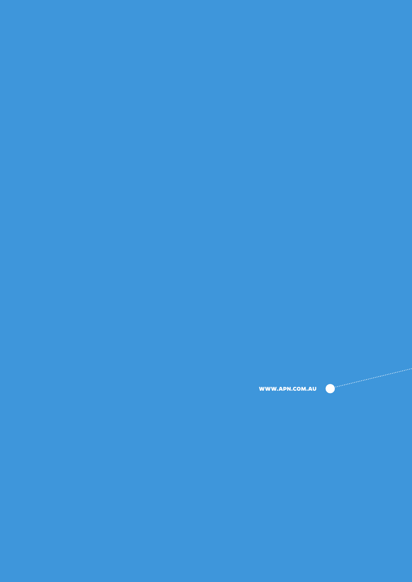**WWW.APN.COM.AU**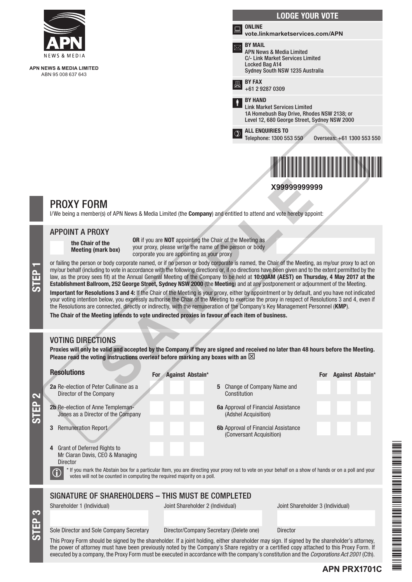

**APN NEWS & MEDIA LIMITED** ABN 95 008 637 643



# PROXY FORM

I/We being a member(s) of APN News & Media Limited (the **Company**) and entitled to attend and vote hereby appoint:

# APPOINT A PROXY

the Chair of the Meeting (mark box) OR if you are NOT appointing the Chair of the Meeting as your proxy, please write the name of the person or body corporate you are appointing as your proxy

or failing the person or body corporate named, or if no person or body corporate is named, the Chair of the Meeting, as my/our proxy to act on<br>my/our behalf (including to vote in accordance with the following directions or my/our behalf (including to vote in accordance with the following directions or, if no directions have been given and to the extent permitted by the law, as the proxy sees fit) at the Annual General Meeting of the Company to be held at 10:00AM (AEST) on Thursday, 4 May 2017 at the **X9999999999**<br> **SAMPLE 18**<br> **SAMPLE 19**<br> **SAMPLE 19**<br> **SAMPLE 19**<br> **SAMPLE 19**<br> **SAMPLE 19**<br> **OR if you are NOT appointing the Chair of the Meeting as<br>
<b>OR if you are NOT appointing the Chair of the Meeting as<br>
rorporate** 

Important for Resolutions 3 and 4: If the Chair of the Meeting is your proxy, either by appointment or by default, and you have not indicated your voting intention below, you expressly authorise the Chair of the Meeting to exercise the proxy in respect of Resolutions 3 and 4, even if the Resolutions are connected, directly or indirectly, with the remuneration of the Company's Key Management Personnel (KMP).

The Chair of the Meeting intends to vote undirected proxies in favour of each item of business.

# VOTING DIRECTIONS

STEP 3

STEP 2

Proxies will only be valid and accepted by the Company if they are signed and received no later than 48 hours before the Meeting. Please read the voting instructions overleaf before marking any boxes with an  $\boxtimes$ 

| <b>Resolutions</b>                                                                                                                                                                                                                                                                                                                | For Against Abstain*                                                                                                         | <b>Against Abstain*</b><br><b>For</b> |  |  |  |  |  |
|-----------------------------------------------------------------------------------------------------------------------------------------------------------------------------------------------------------------------------------------------------------------------------------------------------------------------------------|------------------------------------------------------------------------------------------------------------------------------|---------------------------------------|--|--|--|--|--|
| 2a Re-election of Peter Cullinane as a<br>Director of the Company                                                                                                                                                                                                                                                                 | 5 Change of Company Name and<br>Constitution                                                                                 |                                       |  |  |  |  |  |
| 2b Re-election of Anne Templeman-<br>Jones as a Director of the Company                                                                                                                                                                                                                                                           | <b>6a</b> Approval of Financial Assistance<br>(Adshel Acquisition)                                                           |                                       |  |  |  |  |  |
| <b>Remuneration Report</b>                                                                                                                                                                                                                                                                                                        | <b>6b</b> Approval of Financial Assistance<br>(Conversant Acquisition)                                                       |                                       |  |  |  |  |  |
| <b>Grant of Deferred Rights to</b><br>4<br>Mr Ciaran Davis, CEO & Managing<br><b>Director</b><br>* If you mark the Abstain box for a particular Item, you are directing your proxy not to vote on your behalf on a show of hands or on a poll and your<br>votes will not be counted in computing the required majority on a poll. |                                                                                                                              |                                       |  |  |  |  |  |
| SIGNATURE OF SHAREHOLDERS - THIS MUST BE COMPLETED                                                                                                                                                                                                                                                                                |                                                                                                                              |                                       |  |  |  |  |  |
| Shareholder 1 (Individual)                                                                                                                                                                                                                                                                                                        | Joint Shareholder 2 (Individual)                                                                                             | Joint Shareholder 3 (Individual)      |  |  |  |  |  |
| Sole Director and Sole Company Secretary                                                                                                                                                                                                                                                                                          | Director/Company Secretary (Delete one)                                                                                      | <b>Director</b>                       |  |  |  |  |  |
|                                                                                                                                                                                                                                                                                                                                   | This Darra Francisko dhe singed bothe shendedden 16 stattedding either shendedden merceina 16 singed bother shendeddedde ett |                                       |  |  |  |  |  |

This Proxy Form should be signed by the shareholder. If a joint holding, either shareholder may sign. If signed by the shareholder's attorney, the power of attorney must have been previously noted by the Company's Share registry or a certified copy attached to this Proxy Form. If executed by a company, the Proxy Form must be executed in accordance with the company's constitution and the *Corporations Act 2001* (Cth).

**APN PRX1701C**